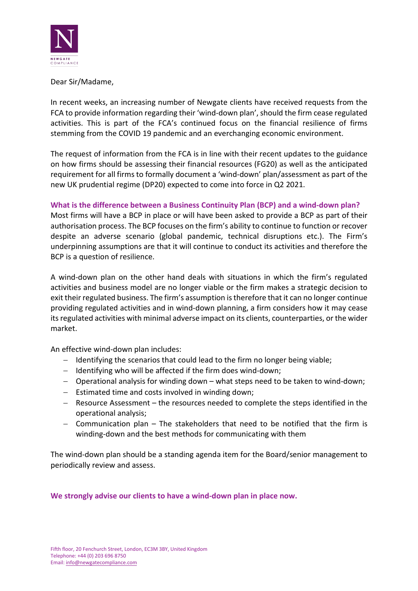

Dear Sir/Madame,

In recent weeks, an increasing number of Newgate clients have received requests from the FCA to provide information regarding their 'wind-down plan', should the firm cease regulated activities. This is part of the FCA's continued focus on the financial resilience of firms stemming from the COVID 19 pandemic and an everchanging economic environment.

The request of information from the FCA is in line with their recent updates to the guidance on how firms should be assessing their financial resources (FG20) as well as the anticipated requirement for all firms to formally document a 'wind-down' plan/assessment as part of the new UK prudential regime (DP20) expected to come into force in Q2 2021.

## **What is the difference between a Business Continuity Plan (BCP) and a wind-down plan?**

Most firms will have a BCP in place or will have been asked to provide a BCP as part of their authorisation process. The BCP focuses on the firm's ability to continue to function or recover despite an adverse scenario (global pandemic, technical disruptions etc.). The Firm's underpinning assumptions are that it will continue to conduct its activities and therefore the BCP is a question of resilience.

A wind-down plan on the other hand deals with situations in which the firm's regulated activities and business model are no longer viable or the firm makes a strategic decision to exit their regulated business. The firm's assumption is therefore that it can no longer continue providing regulated activities and in wind-down planning, a firm considers how it may cease its regulated activities with minimal adverse impact on its clients, counterparties, or the wider market.

An effective wind-down plan includes:

- − Identifying the scenarios that could lead to the firm no longer being viable;
- − Identifying who will be affected if the firm does wind-down;
- − Operational analysis for winding down what steps need to be taken to wind-down;
- − Estimated time and costs involved in winding down;
- − Resource Assessment the resources needed to complete the steps identified in the operational analysis;
- − Communication plan The stakeholders that need to be notified that the firm is winding-down and the best methods for communicating with them

The wind-down plan should be a standing agenda item for the Board/senior management to periodically review and assess.

## **We strongly advise our clients to have a wind-down plan in place now.**